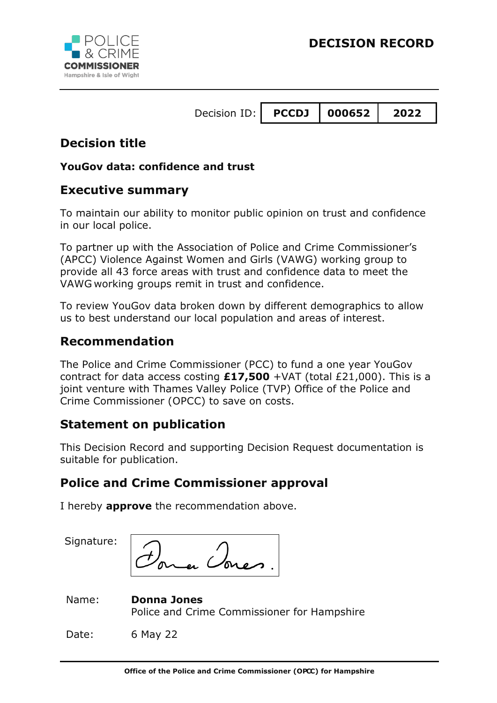

## **Decision title**

### **YouGov data: confidence and trust**

## **Executive summary**

To maintain our ability to monitor public opinion on trust and confidence in our local police.

To partner up with the Association of Police and Crime Commissioner's (APCC) Violence Against Women and Girls (VAWG) working group to provide all 43 force areas with trust and confidence data to meet the VAWG working groups remit in trust and confidence.

To review YouGov data broken down by different demographics to allow us to best understand our local population and areas of interest.

## **Recommendation**

The Police and Crime Commissioner (PCC) to fund a one year YouGov contract for data access costing **£17,500** +VAT (total £21,000). This is a joint venture with Thames Valley Police (TVP) Office of the Police and Crime Commissioner (OPCC) to save on costs.

## **Statement on publication**

This Decision Record and supporting Decision Request documentation is suitable for publication.

## **Police and Crime Commissioner approval**

I hereby **approve** the recommendation above.

Signature:

ra Ovre

| Name: | <b>Donna Jones</b>                          |
|-------|---------------------------------------------|
|       | Police and Crime Commissioner for Hampshire |

Date: 6 May 22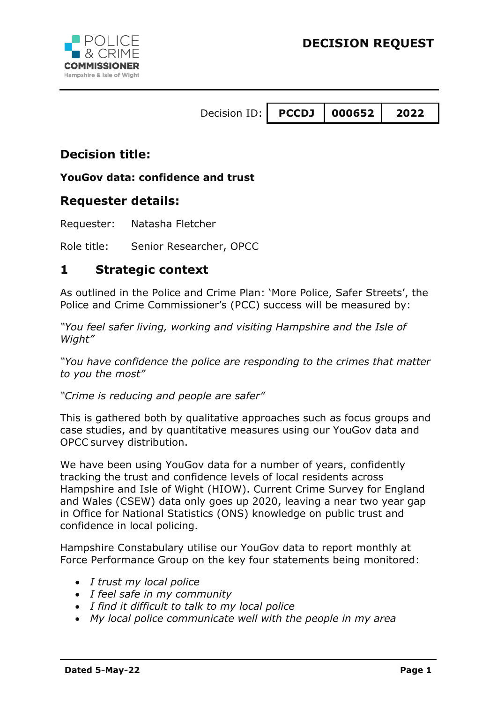

## **Decision title:**

### **YouGov data: confidence and trust**

### **Requester details:**

Requester: Natasha Fletcher

Role title: Senior Researcher, OPCC

## **1 Strategic context**

As outlined in the Police and Crime Plan: 'More Police, Safer Streets', the Police and Crime Commissioner's (PCC) success will be measured by:

*"You feel safer living, working and visiting Hampshire and the Isle of Wight"*

*"You have confidence the police are responding to the crimes that matter to you the most"*

*"Crime is reducing and people are safer"*

This is gathered both by qualitative approaches such as focus groups and case studies, and by quantitative measures using our YouGov data and OPCC survey distribution.

We have been using YouGov data for a number of years, confidently tracking the trust and confidence levels of local residents across Hampshire and Isle of Wight (HIOW). Current Crime Survey for England and Wales (CSEW) data only goes up 2020, leaving a near two year gap in Office for National Statistics (ONS) knowledge on public trust and confidence in local policing.

Hampshire Constabulary utilise our YouGov data to report monthly at Force Performance Group on the key four statements being monitored:

- *I trust my local police*
- *I feel safe in my community*
- *I find it difficult to talk to my local police*
- *My local police communicate well with the people in my area*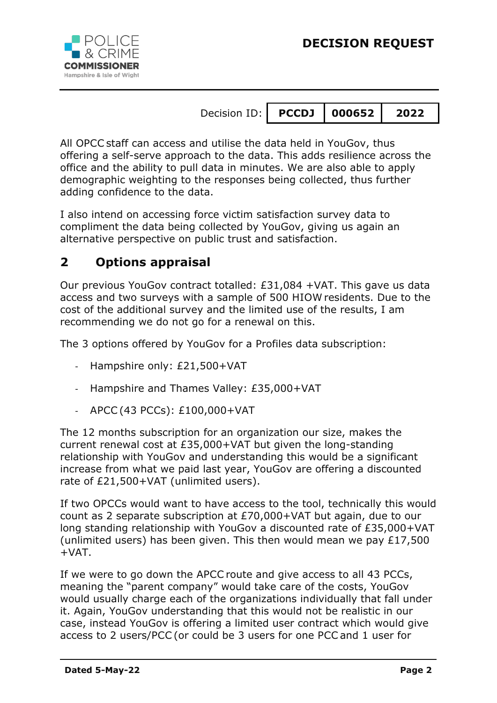

All OPCC staff can access and utilise the data held in YouGov, thus offering a self-serve approach to the data. This adds resilience across the office and the ability to pull data in minutes. We are also able to apply demographic weighting to the responses being collected, thus further adding confidence to the data.

I also intend on accessing force victim satisfaction survey data to compliment the data being collected by YouGov, giving us again an alternative perspective on public trust and satisfaction.

## **2 Options appraisal**

Our previous YouGov contract totalled: £31,084 +VAT. This gave us data access and two surveys with a sample of 500 HIOW residents. Due to the cost of the additional survey and the limited use of the results, I am recommending we do not go for a renewal on this.

The 3 options offered by YouGov for a Profiles data subscription:

- Hampshire only: £21,500+VAT
- Hampshire and Thames Valley: £35,000+VAT
- A P C (43 P C Cs): £100,000 + V A T

The 12 months subscription for an organization our size, makes the current renewal cost at £35,000+VAT but given the long-standing relationship with YouGov and understanding this would be a significant increase from what we paid last year, YouGov are offering a discounted rate of £21,500+VAT (unlimited users).

If two OPCCs would want to have access to the tool, technically this would count as 2 separate subscription at £70,000+VAT but again, due to our long standing relationship with YouGov a discounted rate of £35,000+VAT (unlimited users) has been given. This then would mean we pay £17,500 +VAT.

If we were to go down the APCC route and give access to all 43 PCCs, meaning the "parent company" would take care of the costs, YouGov would usually charge each of the organizations individually that fall under it. Again, YouGov understanding that this would not be realistic in our case, instead YouGov is offering a limited user contract which would give access to 2 users/PCC (or could be 3 users for one PCC and 1 user for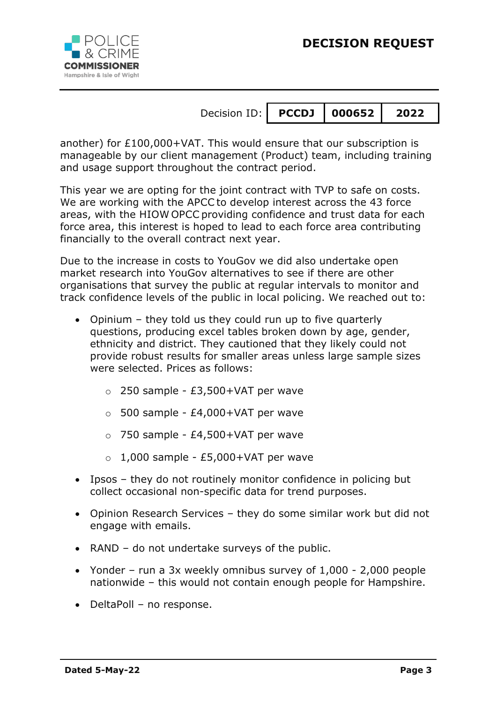



another) for £100,000+VAT. This would ensure that our subscription is manageable by our client management (Product) team, including training and usage support throughout the contract period.

This year we are opting for the joint contract with TVP to safe on costs. We are working with the APCC to develop interest across the 43 force areas, with the HIOW OPCC providing confidence and trust data for each force area, this interest is hoped to lead to each force area contributing financially to the overall contract next year.

Due to the increase in costs to YouGov we did also undertake open market research into YouGov alternatives to see if there are other organisations that survey the public at regular intervals to monitor and track confidence levels of the public in local policing. We reached out to:

- Opinium they told us they could run up to five quarterly questions, producing excel tables broken down by age, gender, ethnicity and district. They cautioned that they likely could not provide robust results for smaller areas unless large sample sizes were selected. Prices as follows:
	- o 250 sample £3,500+VAT per wave
	- $\circ$  500 sample £4,000+VAT per wave
	- $\circ$  750 sample £4,500+VAT per wave
	- $\circ$  1,000 sample £5,000+VAT per wave
- Ipsos they do not routinely monitor confidence in policing but collect occasional non-specific data for trend purposes.
- Opinion Research Services they do some similar work but did not engage with emails.
- RAND do not undertake surveys of the public.
- Yonder run a 3x weekly omnibus survey of 1,000 2,000 people nationwide – this would not contain enough people for Hampshire.
- DeltaPoll no response.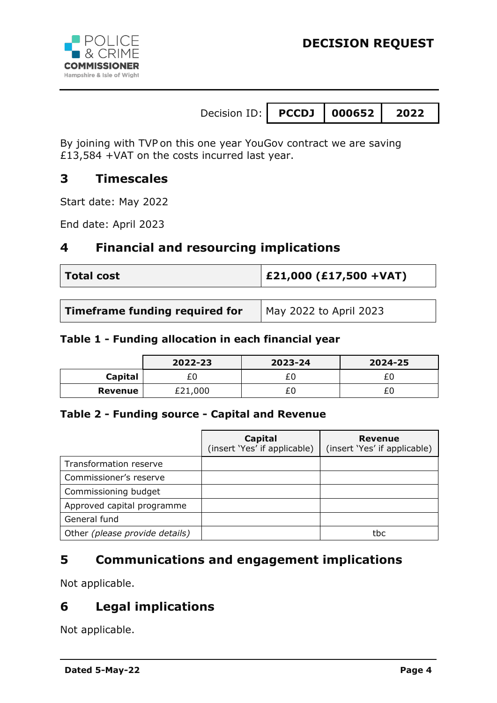

By joining with TVP on this one year YouGov contract we are saving £13,584 +VAT on the costs incurred last year.

### **3 Timescales**

Start date: May 2022

End date: April 2023

### **4 Financial and resourcing implications**

| <b>Total cost</b> | $ E21,000 (E17,500 + VAT) $ |
|-------------------|-----------------------------|
|                   |                             |

| Timeframe funding required for | May 2022 to April 2023 |
|--------------------------------|------------------------|
|--------------------------------|------------------------|

#### **Table 1 - Funding allocation in each financial year**

|         | 2022-23 | 2023-24 | 2024-25 |
|---------|---------|---------|---------|
| Capital | £0      |         |         |
| Revenue | £21,000 |         |         |

#### **Table 2 - Funding source - Capital and Revenue**

|                                | Capital<br>(insert 'Yes' if applicable) | <b>Revenue</b><br>(insert 'Yes' if applicable) |  |
|--------------------------------|-----------------------------------------|------------------------------------------------|--|
| Transformation reserve         |                                         |                                                |  |
| Commissioner's reserve         |                                         |                                                |  |
| Commissioning budget           |                                         |                                                |  |
| Approved capital programme     |                                         |                                                |  |
| General fund                   |                                         |                                                |  |
| Other (please provide details) |                                         | tbc                                            |  |

## **5 Communications and engagement implications**

Not applicable.

# **6 Legal implications**

Not applicable.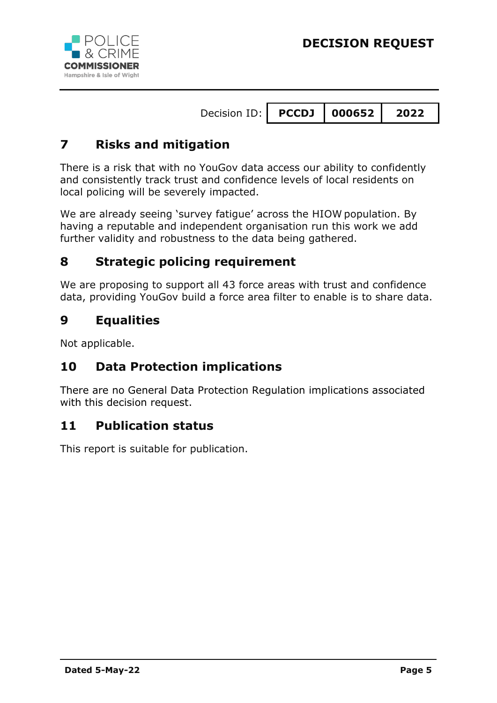



## **7 Risks and mitigation**

There is a risk that with no YouGov data access our ability to confidently and consistently track trust and confidence levels of local residents on local policing will be severely impacted.

We are already seeing 'survey fatigue' across the HIOW population. By having a reputable and independent organisation run this work we add further validity and robustness to the data being gathered.

### **8 Strategic policing requirement**

We are proposing to support all 43 force areas with trust and confidence data, providing YouGov build a force area filter to enable is to share data.

### **9 Equalities**

Not applicable.

## **10 Data Protection implications**

There are no General Data Protection Regulation implications associated with this decision request.

### **11 Publication status**

This report is suitable for publication.